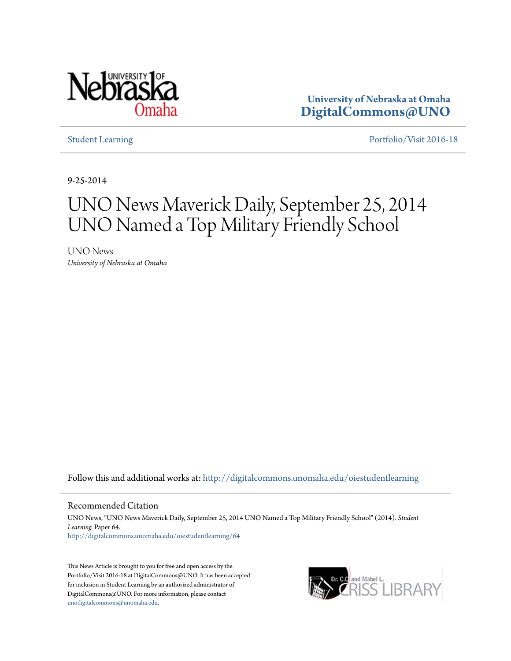

**University of Nebraska at Omaha [DigitalCommons@UNO](http://digitalcommons.unomaha.edu?utm_source=digitalcommons.unomaha.edu%2Foiestudentlearning%2F64&utm_medium=PDF&utm_campaign=PDFCoverPages)**

[Student Learning](http://digitalcommons.unomaha.edu/oiestudentlearning?utm_source=digitalcommons.unomaha.edu%2Foiestudentlearning%2F64&utm_medium=PDF&utm_campaign=PDFCoverPages) **[Portfolio/Visit 2016-18](http://digitalcommons.unomaha.edu/oieportfolio?utm_source=digitalcommons.unomaha.edu%2Foiestudentlearning%2F64&utm_medium=PDF&utm_campaign=PDFCoverPages)** 

9-25-2014

# UNO News Maverick Daily, September 25, 2014 UNO Named a Top Military Friendly School

UNO News *University of Nebraska at Omaha*

Follow this and additional works at: [http://digitalcommons.unomaha.edu/oiestudentlearning](http://digitalcommons.unomaha.edu/oiestudentlearning?utm_source=digitalcommons.unomaha.edu%2Foiestudentlearning%2F64&utm_medium=PDF&utm_campaign=PDFCoverPages)

Recommended Citation

UNO News, "UNO News Maverick Daily, September 25, 2014 UNO Named a Top Military Friendly School" (2014). *Student Learning.* Paper 64. [http://digitalcommons.unomaha.edu/oiestudentlearning/64](http://digitalcommons.unomaha.edu/oiestudentlearning/64?utm_source=digitalcommons.unomaha.edu%2Foiestudentlearning%2F64&utm_medium=PDF&utm_campaign=PDFCoverPages)

This News Article is brought to you for free and open access by the Portfolio/Visit 2016-18 at DigitalCommons@UNO. It has been accepted for inclusion in Student Learning by an authorized administrator of DigitalCommons@UNO. For more information, please contact [unodigitalcommons@unomaha.edu](mailto:unodigitalcommons@unomaha.edu).

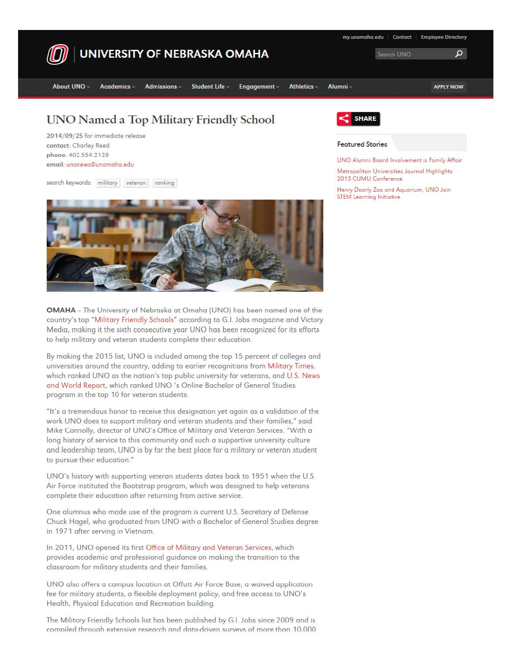

2014/09/25 for immediate release contact: Charley Reed phone: 402.554.21 29 email: unonews@unomaha.edu

search keywords: military veteran ranking



**OMAHA** - The University of Nebraska at Omaha {UNO} has been named one of the country's top "Military Friendly Schools" according to G.I. Jobs magazine and Victory Medio, moking it the sixth consecutive year UNO hos been recognized for its efforts to help military and veteran students complete their education.

By making the 2015 list, UNO is included among the top 15 percent of colleges and universities around the country, adding to earlier recognitions from Military Times, which ranked UNO as the nation's top public university for veterans, and U.S. News and World Report, which ranked UNO 's Online Bachelor of General Studies program in the top 10 for veteran students.

"It's a tremendous honor to receive this designation yet again as a validation of the work UNO does to support military and veteran students and their families," said **Mike** Connolly, director of UNO's Office of Military and Veteran Services. "With a long history of service to this community and such a supportive university culture and leadership team, UNO is by far the best place for a military or veteran student to pursue their education."

UNO's history with supporting veteran students dates back to 1951 when the U.S. Air Force instituted the Bootstrap program, which was designed to help veterans complete their education after returning from active service.

One alumnus who made use of the program is current U.S. Secretary of Defense Chuck Hagel, who graduated from UNO with a Bachelor of General Studies degree in 1971 after serving in Vietnam.

In 2011, UNO opened its first Office of Military and Veteran Services, which provides academic and professional guidance on making the transition to the classroom for military students and their families.

UNO also offers a campus location at Offutt Air Force Base, a waived application fee for military students, a flexible deployment policy, and free access to UNO's Health, Physical Education and Recreation building.

The Military Friendly Schools list has been published by G.L Jobs since 2009 and is compiled through extensive research and data-driven surveys of more than 10.000



#### **Featured Stories**

UNO Alumni Board Involvement is Fomily Affair

**Metropolitan Universities Journal Highl'ghts**  2015 CUMU Conference

Henry Doarly Zoo and Aquarium. UNO Join STEM Learning Initiative